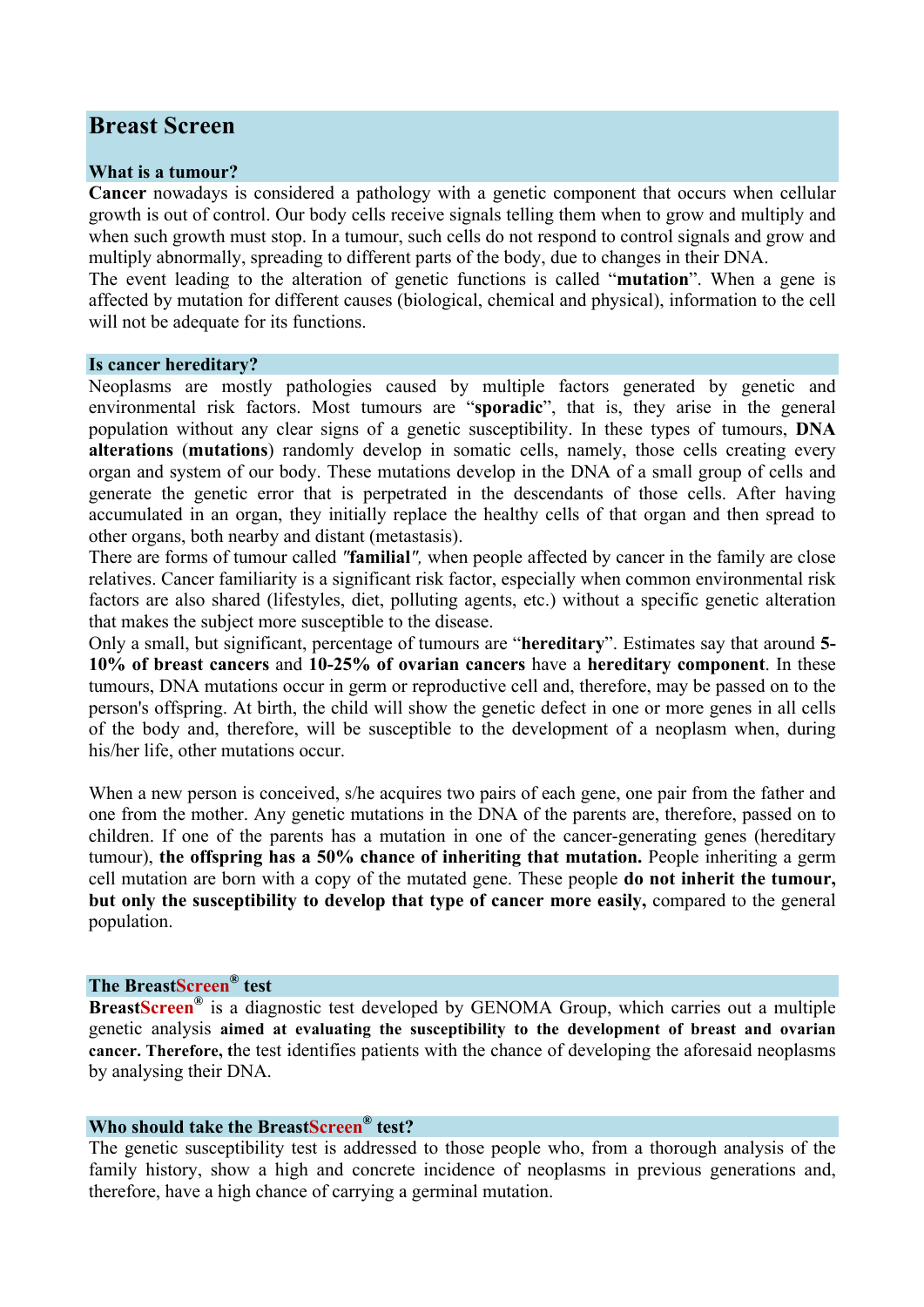# **Breast Screen**

### **What is a tumour?**

**Cancer** nowadays is considered a pathology with a genetic component that occurs when cellular growth is out of control. Our body cells receive signals telling them when to grow and multiply and when such growth must stop. In a tumour, such cells do not respond to control signals and grow and multiply abnormally, spreading to different parts of the body, due to changes in their DNA.

The event leading to the alteration of genetic functions is called "**mutation**". When a gene is affected by mutation for different causes (biological, chemical and physical), information to the cell will not be adequate for its functions.

#### **Is cancer hereditary?**

Neoplasms are mostly pathologies caused by multiple factors generated by genetic and environmental risk factors. Most tumours are "**sporadic**", that is, they arise in the general population without any clear signs of a genetic susceptibility. In these types of tumours, **DNA alterations** (**mutations**) randomly develop in somatic cells, namely, those cells creating every organ and system of our body. These mutations develop in the DNA of a small group of cells and generate the genetic error that is perpetrated in the descendants of those cells. After having accumulated in an organ, they initially replace the healthy cells of that organ and then spread to other organs, both nearby and distant (metastasis).

There are forms of tumour called *"***familial***",* when people affected by cancer in the family are close relatives. Cancer familiarity is a significant risk factor, especially when common environmental risk factors are also shared (lifestyles, diet, polluting agents, etc.) without a specific genetic alteration that makes the subject more susceptible to the disease.

Only a small, but significant, percentage of tumours are "**hereditary**". Estimates say that around **5- 10% of breast cancers** and **10-25% of ovarian cancers** have a **hereditary component**. In these tumours, DNA mutations occur in germ or reproductive cell and, therefore, may be passed on to the person's offspring. At birth, the child will show the genetic defect in one or more genes in all cells of the body and, therefore, will be susceptible to the development of a neoplasm when, during his/her life, other mutations occur.

When a new person is conceived, s/he acquires two pairs of each gene, one pair from the father and one from the mother. Any genetic mutations in the DNA of the parents are, therefore, passed on to children. If one of the parents has a mutation in one of the cancer-generating genes (hereditary tumour), **the offspring has a 50% chance of inheriting that mutation.** People inheriting a germ cell mutation are born with a copy of the mutated gene. These people **do not inherit the tumour, but only the susceptibility to develop that type of cancer more easily,** compared to the general population.

## **The BreastScreen® test**

**BreastScreen®** is a diagnostic test developed by GENOMA Group, which carries out a multiple genetic analysis **aimed at evaluating the susceptibility to the development of breast and ovarian cancer. Therefore, t**he test identifies patients with the chance of developing the aforesaid neoplasms by analysing their DNA.

## **Who should take the BreastScreen® test?**

The genetic susceptibility test is addressed to those people who, from a thorough analysis of the family history, show a high and concrete incidence of neoplasms in previous generations and, therefore, have a high chance of carrying a germinal mutation.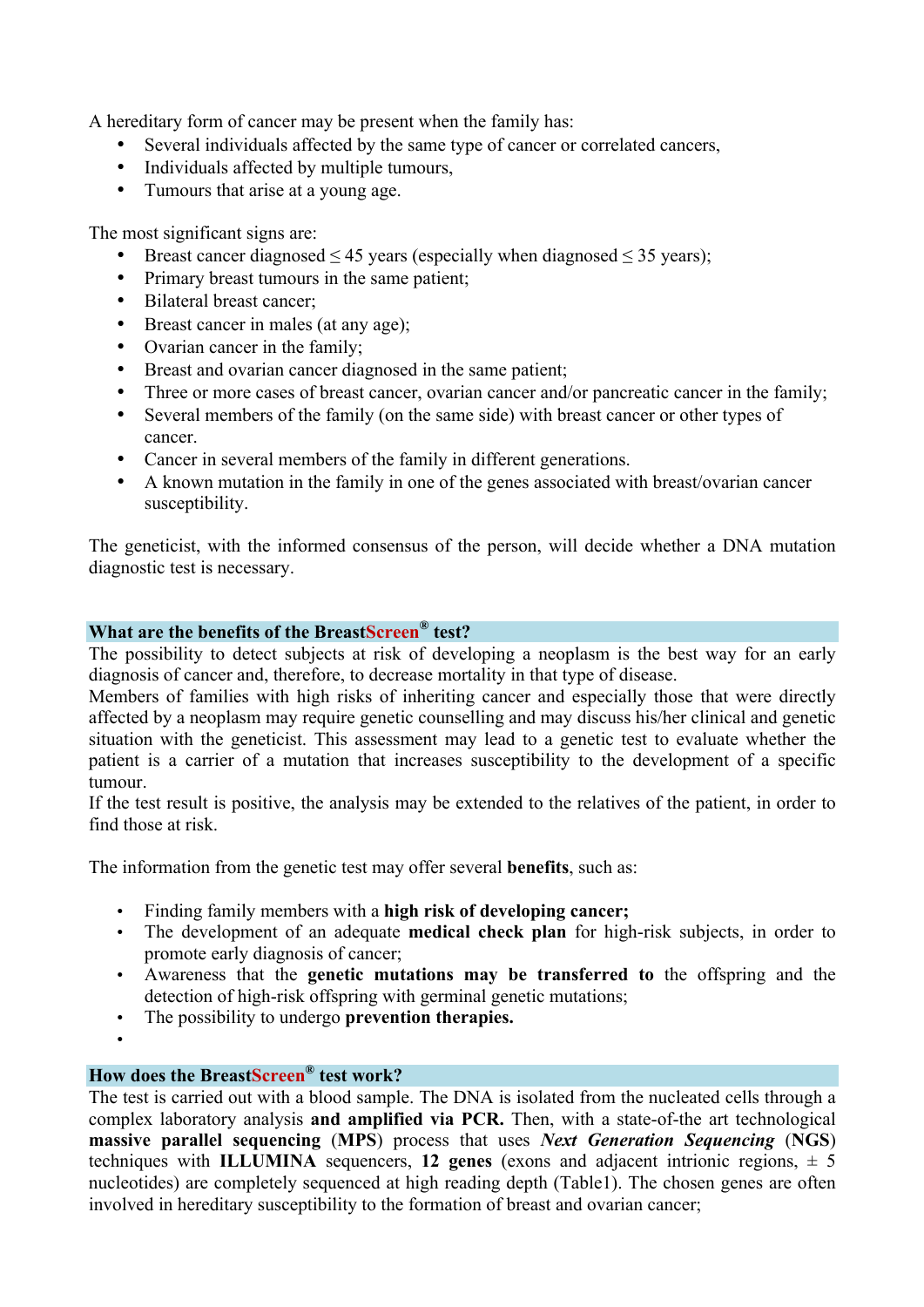A hereditary form of cancer may be present when the family has:

- Several individuals affected by the same type of cancer or correlated cancers,
- Individuals affected by multiple tumours,
- Tumours that arise at a young age.

The most significant signs are:

- Breast cancer diagnosed  $\leq 45$  years (especially when diagnosed  $\leq 35$  years);
- Primary breast tumours in the same patient;
- Bilateral breast cancer;
- Breast cancer in males (at any age);
- Ovarian cancer in the family;
- Breast and ovarian cancer diagnosed in the same patient;
- Three or more cases of breast cancer, ovarian cancer and/or pancreatic cancer in the family;
- Several members of the family (on the same side) with breast cancer or other types of cancer.
- Cancer in several members of the family in different generations.
- A known mutation in the family in one of the genes associated with breast/ovarian cancer susceptibility.

The geneticist, with the informed consensus of the person, will decide whether a DNA mutation diagnostic test is necessary.

## **What are the benefits of the BreastScreen® test?**

The possibility to detect subjects at risk of developing a neoplasm is the best way for an early diagnosis of cancer and, therefore, to decrease mortality in that type of disease.

Members of families with high risks of inheriting cancer and especially those that were directly affected by a neoplasm may require genetic counselling and may discuss his/her clinical and genetic situation with the geneticist. This assessment may lead to a genetic test to evaluate whether the patient is a carrier of a mutation that increases susceptibility to the development of a specific tumour.

If the test result is positive, the analysis may be extended to the relatives of the patient, in order to find those at risk.

The information from the genetic test may offer several **benefits**, such as:

- Finding family members with a **high risk of developing cancer;**
- The development of an adequate **medical check plan** for high-risk subjects, in order to promote early diagnosis of cancer;
- Awareness that the **genetic mutations may be transferred to** the offspring and the detection of high-risk offspring with germinal genetic mutations;
- The possibility to undergo **prevention therapies.**
- •

## **How does the BreastScreen® test work?**

The test is carried out with a blood sample. The DNA is isolated from the nucleated cells through a complex laboratory analysis **and amplified via PCR.** Then, with a state-of-the art technological **massive parallel sequencing** (**MPS**) process that uses *Next Generation Sequencing* (**NGS**) techniques with **ILLUMINA** sequencers, 12 genes (exons and adjacent intrionic regions,  $\pm$  5 nucleotides) are completely sequenced at high reading depth (Table1). The chosen genes are often involved in hereditary susceptibility to the formation of breast and ovarian cancer;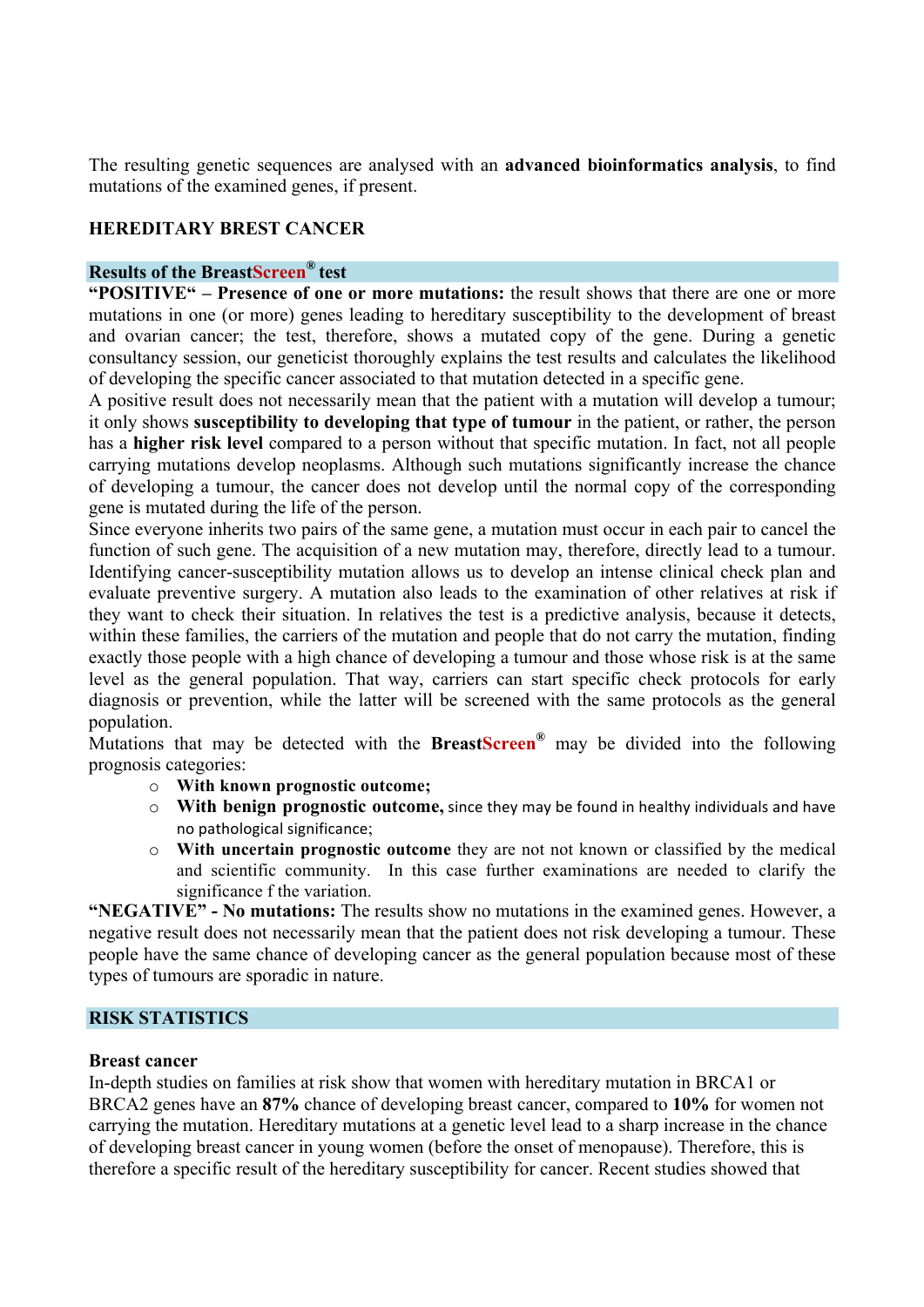The resulting genetic sequences are analysed with an **advanced bioinformatics analysis**, to find mutations of the examined genes, if present.

## **HEREDITARY BREST CANCER**

### **Results of the BreastScreen® test**

**"POSITIVE" – Presence of one or more mutations:** the result shows that there are one or more mutations in one (or more) genes leading to hereditary susceptibility to the development of breast and ovarian cancer; the test, therefore, shows a mutated copy of the gene. During a genetic consultancy session, our geneticist thoroughly explains the test results and calculates the likelihood of developing the specific cancer associated to that mutation detected in a specific gene.

A positive result does not necessarily mean that the patient with a mutation will develop a tumour; it only shows **susceptibility to developing that type of tumour** in the patient, or rather, the person has a **higher risk level** compared to a person without that specific mutation. In fact, not all people carrying mutations develop neoplasms. Although such mutations significantly increase the chance of developing a tumour, the cancer does not develop until the normal copy of the corresponding gene is mutated during the life of the person.

Since everyone inherits two pairs of the same gene, a mutation must occur in each pair to cancel the function of such gene. The acquisition of a new mutation may, therefore, directly lead to a tumour. Identifying cancer-susceptibility mutation allows us to develop an intense clinical check plan and evaluate preventive surgery. A mutation also leads to the examination of other relatives at risk if they want to check their situation. In relatives the test is a predictive analysis, because it detects, within these families, the carriers of the mutation and people that do not carry the mutation, finding exactly those people with a high chance of developing a tumour and those whose risk is at the same level as the general population. That way, carriers can start specific check protocols for early diagnosis or prevention, while the latter will be screened with the same protocols as the general population.

Mutations that may be detected with the **BreastScreen®** may be divided into the following prognosis categories:

- o **With known prognostic outcome;**
- o **With benign prognostic outcome,** since they may be found in healthy individuals and have no pathological significance;
- o **With uncertain prognostic outcome** they are not not known or classified by the medical and scientific community. In this case further examinations are needed to clarify the significance f the variation.

**"NEGATIVE" - No mutations:** The results show no mutations in the examined genes. However, a negative result does not necessarily mean that the patient does not risk developing a tumour. These people have the same chance of developing cancer as the general population because most of these types of tumours are sporadic in nature.

## **RISK STATISTICS**

### **Breast cancer**

In-depth studies on families at risk show that women with hereditary mutation in BRCA1 or BRCA2 genes have an **87%** chance of developing breast cancer, compared to **10%** for women not carrying the mutation. Hereditary mutations at a genetic level lead to a sharp increase in the chance of developing breast cancer in young women (before the onset of menopause). Therefore, this is therefore a specific result of the hereditary susceptibility for cancer. Recent studies showed that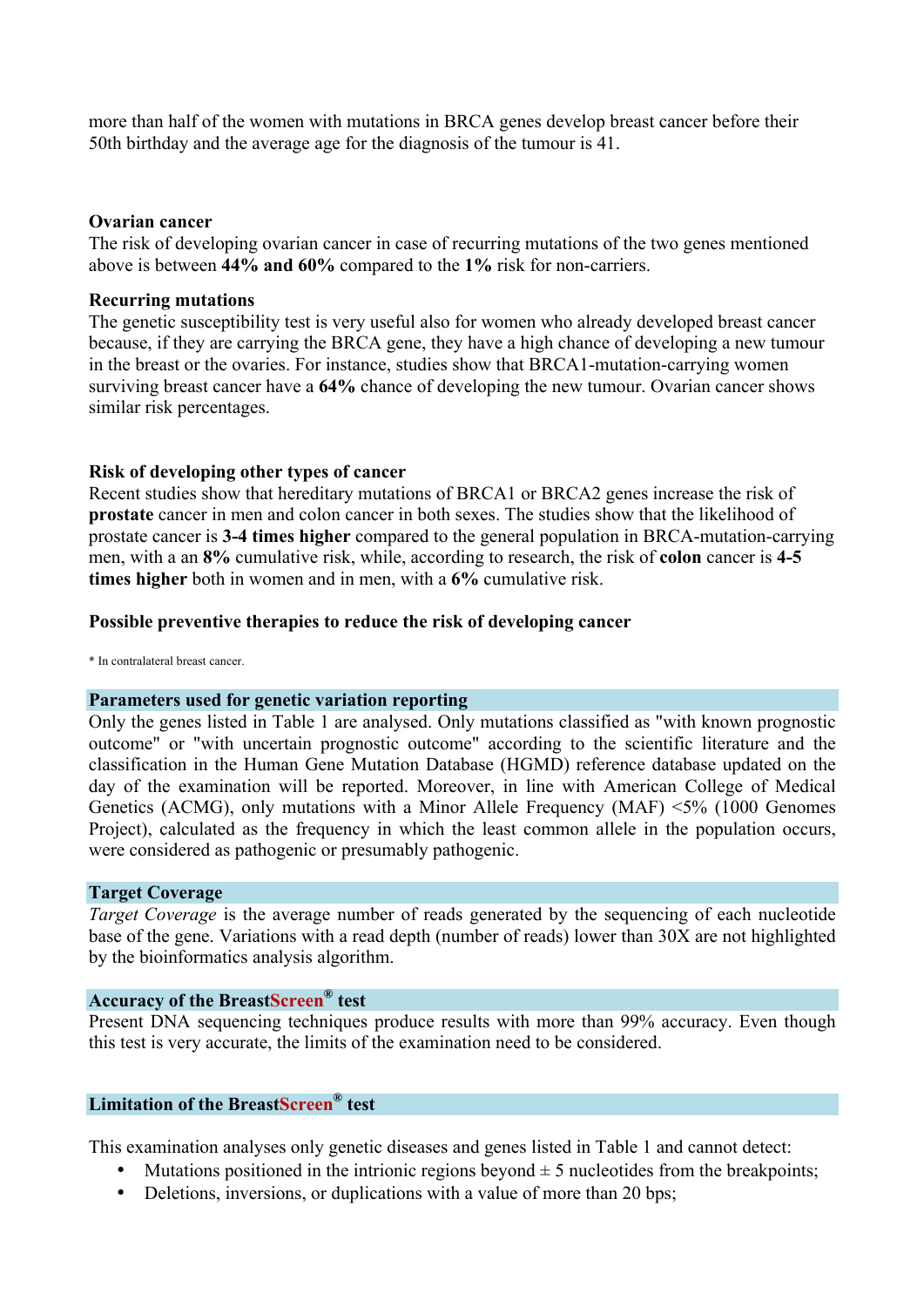more than half of the women with mutations in BRCA genes develop breast cancer before their 50th birthday and the average age for the diagnosis of the tumour is 41.

### **Ovarian cancer**

The risk of developing ovarian cancer in case of recurring mutations of the two genes mentioned above is between **44% and 60%** compared to the **1%** risk for non-carriers.

### **Recurring mutations**

The genetic susceptibility test is very useful also for women who already developed breast cancer because, if they are carrying the BRCA gene, they have a high chance of developing a new tumour in the breast or the ovaries. For instance, studies show that BRCA1-mutation-carrying women surviving breast cancer have a **64%** chance of developing the new tumour. Ovarian cancer shows similar risk percentages.

### **Risk of developing other types of cancer**

Recent studies show that hereditary mutations of BRCA1 or BRCA2 genes increase the risk of **prostate** cancer in men and colon cancer in both sexes. The studies show that the likelihood of prostate cancer is **3-4 times higher** compared to the general population in BRCA-mutation-carrying men, with a an **8%** cumulative risk, while, according to research, the risk of **colon** cancer is **4-5 times higher** both in women and in men, with a **6%** cumulative risk.

### **Possible preventive therapies to reduce the risk of developing cancer**

\* In contralateral breast cancer.

#### **Parameters used for genetic variation reporting**

Only the genes listed in Table 1 are analysed. Only mutations classified as "with known prognostic outcome" or "with uncertain prognostic outcome" according to the scientific literature and the classification in the Human Gene Mutation Database (HGMD) reference database updated on the day of the examination will be reported. Moreover, in line with American College of Medical Genetics (ACMG), only mutations with a Minor Allele Frequency (MAF) <5% (1000 Genomes Project), calculated as the frequency in which the least common allele in the population occurs, were considered as pathogenic or presumably pathogenic.

#### **Target Coverage**

*Target Coverage* is the average number of reads generated by the sequencing of each nucleotide base of the gene. Variations with a read depth (number of reads) lower than 30X are not highlighted by the bioinformatics analysis algorithm.

## **Accuracy of the BreastScreen® test**

Present DNA sequencing techniques produce results with more than 99% accuracy. Even though this test is very accurate, the limits of the examination need to be considered.

## **Limitation of the BreastScreen® test**

This examination analyses only genetic diseases and genes listed in Table 1 and cannot detect:

- Mutations positioned in the intrionic regions beyond  $\pm$  5 nucleotides from the breakpoints;
- Deletions, inversions, or duplications with a value of more than 20 bps;